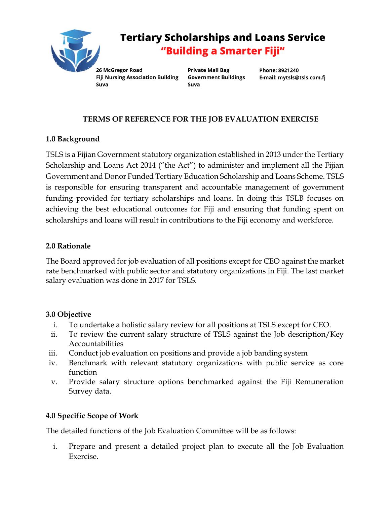

# **Tertiary Scholarships and Loans Service** "Building a Smarter Fiji"

26 McGregor Road **Fiji Nursing Association Building** Suva

Private Mail Bag **Government Buildings** Suva

Phone: 8921240 E-mail: mytsls@tsls.com.fj

## **TERMS OF REFERENCE FOR THE JOB EVALUATION EXERCISE**

## **1.0 Background**

TSLS is a Fijian Government statutory organization established in 2013 under the Tertiary Scholarship and Loans Act 2014 ("the Act") to administer and implement all the Fijian Government and Donor Funded Tertiary Education Scholarship and Loans Scheme. TSLS is responsible for ensuring transparent and accountable management of government funding provided for tertiary scholarships and loans. In doing this TSLB focuses on achieving the best educational outcomes for Fiji and ensuring that funding spent on scholarships and loans will result in contributions to the Fiji economy and workforce.

## **2.0 Rationale**

The Board approved for job evaluation of all positions except for CEO against the market rate benchmarked with public sector and statutory organizations in Fiji. The last market salary evaluation was done in 2017 for TSLS.

#### **3.0 Objective**

- i. To undertake a holistic salary review for all positions at TSLS except for CEO.
- ii. To review the current salary structure of TSLS against the Job description/Key Accountabilities
- iii. Conduct job evaluation on positions and provide a job banding system
- iv. Benchmark with relevant statutory organizations with public service as core function
- v. Provide salary structure options benchmarked against the Fiji Remuneration Survey data.

## **4.0 Specific Scope of Work**

The detailed functions of the Job Evaluation Committee will be as follows:

i. Prepare and present a detailed project plan to execute all the Job Evaluation Exercise.